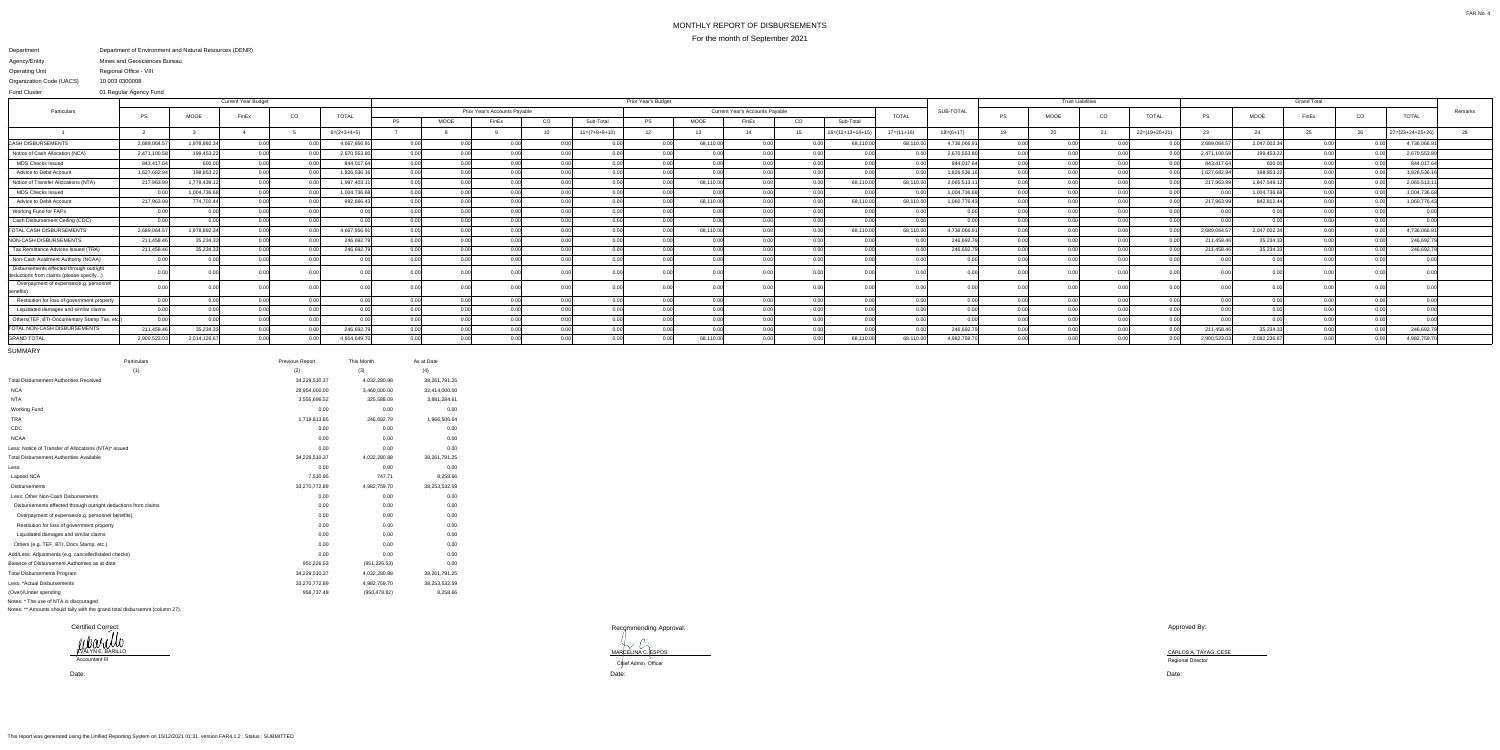## MONTHLY REPORT OF DISBURSEMENTSFor the month of September 2021

Recommending Approval:

MARCELINA C. ESPOS<br>I Chief Admin. Officer

## Department Agency/EntityOperating Unit Organization Code (UACS) Department of Environment and Natural Resources (DENR) Mines and Geosciences BureauRegional Office - VIII10 003 0300008

 01 Regular Agency FundFund Cluster

|                                                                                   | <b>Current Year Budget</b> |              |       |                   |               |           | <b>Prior Year's Budget</b>    |       |           |                 |           |           |                                        |      |                    |              |              | <b>Trust Liabilities</b> |             |               |                 |             |              |      |               |                  |  |
|-----------------------------------------------------------------------------------|----------------------------|--------------|-------|-------------------|---------------|-----------|-------------------------------|-------|-----------|-----------------|-----------|-----------|----------------------------------------|------|--------------------|--------------|--------------|--------------------------|-------------|---------------|-----------------|-------------|--------------|------|---------------|------------------|--|
| Particulars                                                                       | P.                         | MOOE         | FinEx | $_{\rm CO}$       | <b>TOTAL</b>  |           | Prior Year's Accounts Payable |       |           |                 |           |           | <b>Current Year's Accounts Payable</b> |      | <b>TOTAL</b>       | SUB-TOTAL    | PS           | MOOE                     | $_{\rm CO}$ | <b>TOTAL</b>  | PS              | MOOE        | FinEx        | CO   | <b>TOTAL</b>  | Remarks          |  |
|                                                                                   |                            |              |       |                   |               | <b>PS</b> | MOOE                          | FinEx | <b>CO</b> | Sub-Total       | <b>PS</b> | MOOE      | FinEx                                  | CO.  | Sub-Total          |              |              |                          |             |               |                 |             |              |      |               |                  |  |
|                                                                                   |                            |              |       |                   | $6=(2+3+4+5)$ |           |                               |       |           | $11=(7+8+9+10)$ | 12        | -13       |                                        |      | $16=(12+13+14+19)$ | $17=(11+16)$ | $18=(6+17)$  |                          |             |               | $22=(19+20+21)$ |             |              |      | 26            | 27=(23+24+25+26) |  |
| <b>CASH DISBURSEMENTS</b>                                                         | 2,689,064.57               | 1,978,892.34 | n nn  | n nn              | 4,667,956.91  | 0.00      |                               |       |           |                 |           | 68,110.00 |                                        |      | 68,110.            | 68,110.00    | 4,736,066.91 |                          |             |               |                 | 2,689,064.5 | 2,047,002.34 | 0.00 |               | 4,736,066.9      |  |
| Notice of Cash Allocation (NCA)                                                   | 2,471,100.58               | 199,453.22   |       |                   | 2,670,553.80  | 0.00      |                               |       |           |                 |           |           |                                        |      |                    |              | 2,670,553.80 |                          |             |               |                 | 2.471.100.5 | 199,453.22   |      |               | 2.670.553.8      |  |
| <b>MDS Checks Issued</b>                                                          | 843,417.64                 | 600.00       | 0.00  | 0.00 <sup>1</sup> | 844,017.64    | 0.00      | ስ ስስ                          | n nn  | 0.00      | 0.00            | n nr      | 0.00      | $\cap$ $\cap$                          | n nn | n nr               | n nn         | 844,017.64   |                          |             | n nr          | 0.00            | 843,417.6   | 600.00       | 0.00 |               | 844,017.6        |  |
| Advice to Debit Account                                                           | 1,627,682.94               | 198,853.22   | 0.00  | 0.00 <sub>l</sub> | 1,826,536.16  | 0.00      | n nr                          |       |           | 0.00            |           | 0.00      |                                        | 0.00 | n nr               | 0.00         | 1,826,536.16 |                          |             | n nr          | 0.00            | 1,627,682.9 | 198,853.22   | 0.00 | 0.00          | 1,826,536.1      |  |
| Notice of Transfer Allocations (NTA)                                              | 217,963.99                 | 1,779,439.12 |       | 0.00              | 1,997,403.1   | 0.00      |                               |       |           | 0.00            |           | 68,110.00 |                                        | 0.00 | 68,110.00          | 68,110.00    | 2,065,513.1  |                          |             |               |                 | 217,963.9   | 1,847,549.12 | 0.00 |               | 2,065,513.1      |  |
| <b>MDS Checks Issued</b>                                                          |                            | 1,004,736.68 |       | 0.00              | 1,004,736.68  | 0.00      |                               |       |           |                 |           | 0.00      |                                        |      |                    |              | 1.004.736.68 |                          |             |               |                 |             | 1,004,736.68 |      |               | 1,004,736.68     |  |
| Advice to Debit Account                                                           | 217,963.99                 | 774,702.44   | 0.00  | 0.00              | 992,666.43    | 0.00      |                               |       |           |                 |           | 68,110.00 |                                        |      | 68.110.0           | 68,110.00    | 1.060.776.43 |                          |             | 0.00          |                 | 217,963.9   | 842,812.44   |      |               | 1,060,776.43     |  |
| Working Fund for FAPs                                                             | 0.00                       | 0.00         | 0.00  | 0.00 <sub>l</sub> | 0.00          | 0.00      |                               | 0.00  | 0.00      | 0.00            | 0.00      | 0.00      | 0.00                                   | 0.00 |                    | n nr         | 0.00         |                          |             | 0.00          | 0.00            |             | 0.00         | 0.00 | 0.00          |                  |  |
| Cash Disbursement Ceiling (CDC)                                                   | 0.00                       | 0.00         | 0.00  | 0.001             | 0.001         | 0.00      |                               | n nn  |           | 0.00            |           | 0.00      |                                        | 0.00 |                    | n nn         | 0.00         |                          |             |               | 0.00            |             | 0.00         |      | n no          |                  |  |
| TOTAL CASH DISBURSEMENTS                                                          | 2,689,064.57               | 1,978,892.34 | 0.00  | 0.00              | 4,667,956.91  | 0.00      |                               | n nn  |           | 0.00            |           | 68,110.00 |                                        | 0.00 | 68,110.00          | 68,110.00    | 4,736,066.91 |                          |             |               | 0.00            | 2.689.064.5 | 2,047,002.34 | 0.00 |               | 4,736,066.9      |  |
| NON-CASH DISBURSEMENTS                                                            | 211.458.46                 | 35,234.33    |       | . വ വ             | 246,692.79    | 0.00      |                               |       |           |                 |           |           |                                        |      |                    |              | 246,692.79   |                          |             |               |                 | 211,458.4   | 35,234.33    | 0.00 |               | 246,692.7        |  |
| Tax Remittance Advices Issued (TRA)                                               | 211,458.46                 | 35,234.33    |       | 0.00 <sub>l</sub> | 246,692.79    | 0.00      |                               |       |           | 0.00            |           | 0.00      |                                        |      |                    |              | 246,692.79   |                          |             | 0.00          |                 | 211,458.4   | 35,234.33    |      |               | 246,692.7        |  |
| Non-Cash Availment Authority (NCAA)                                               | 0.00                       | n ool        | 0.00  | n nnl             | ስ ስስ          | 0.00      |                               |       |           | 0. UU           |           | n nnl     |                                        | 0.00 |                    | n nnl        | 0.00         |                          |             | 0.00          |                 |             | n nnl        | 0.00 | റ ററി         |                  |  |
| Disbursements effected through outright<br>deductions from claims (please specify |                            |              |       |                   |               | 0.00      |                               |       |           |                 |           | 0.00      |                                        |      |                    |              |              |                          |             |               |                 |             |              |      |               |                  |  |
| Overpayment of expenses(e.g. personnel                                            |                            |              |       |                   |               | 0.00      |                               |       |           |                 |           | n ni      |                                        |      |                    |              |              |                          |             |               |                 |             |              |      |               |                  |  |
| Restitution for loss of government property                                       |                            | 0.001        | 0.00  | 0.00              | n nnl         | 0.00      |                               |       |           | 0.00            |           | 0.00      |                                        |      |                    | 0.00         |              |                          |             |               |                 |             | 0.00         |      |               | 0.00             |  |
| Liquidated damages and similar claims                                             | 0.00                       | 0.00         |       | 0.00              | ስ ስስ          | 0.00      |                               |       |           | 0.00            |           | 0.00      |                                        |      |                    |              | 0.00         |                          |             | $\cap$ $\cap$ |                 |             | 0.00         |      | $\cap$ $\cap$ | 0.00             |  |
| Others (TEF, BTr-Documentary Stamp Tax, etd.                                      |                            |              |       | n nn              |               | 0.00      |                               |       |           |                 |           | n ni      |                                        |      |                    |              |              |                          |             |               |                 |             |              | 0.00 |               |                  |  |
| TOTAL NON-CASH DISBURSEMENTS                                                      | 211,458.46                 | 35,234.3     |       | 0.00 <sub>l</sub> | 246,692.7     | 0.00      |                               |       |           |                 |           | 0.00      |                                        |      |                    |              | 246,692.7    |                          |             |               |                 | 211,458.4   | 35,234.33    |      |               | 246,692.         |  |
| <b>GRAND TOTAL</b>                                                                | 2,900,523.03               | 2,014,126.67 | 0.001 | 0.00 <sub>l</sub> | 4,914,649.70  | 0.00      |                               | 0.00  |           | 0.00            |           | 68,110.00 |                                        |      | 68,110.0           | 68,110.00    | 4,982,759.70 |                          |             | 0.00          |                 | 2,900,523.  | 2,082,236.67 | 0.00 | n no          | 4,982,759.7      |  |
|                                                                                   |                            |              |       |                   |               |           |                               |       |           |                 |           |           |                                        |      |                    |              |              |                          |             |               |                 |             |              |      |               |                  |  |

Certified Correct: ۰, EVALYN E. BARILLO Accountant III

SUMMARY

| Particulars                                                    | Previous Report | This Month    | As at Date    |
|----------------------------------------------------------------|-----------------|---------------|---------------|
| (1)                                                            | (2)             | (3)           | (4)           |
| <b>Total Disbursement Authorities Received</b>                 | 34,229,510.37   | 4,032,280.88  | 38,261,791.25 |
| <b>NCA</b>                                                     | 28,954,000.00   | 3,460,000.00  | 32,414,000.00 |
| <b>NTA</b>                                                     | 3,555,696.52    | 325,588.09    | 3,881,284.61  |
| <b>Working Fund</b>                                            | 0.00            | 0.00          | 0.00          |
| <b>TRA</b>                                                     | 1,719,813.85    | 246,692.79    | 1,966,506.64  |
| CDC                                                            | 0.00            | 0.00          | 0.00          |
| <b>NCAA</b>                                                    | 0.00            | 0.00          | 0.00          |
| Less: Notice of Transfer of Allocations (NTA)* issued          | 0.00            | 0.00          | 0.00          |
| <b>Total Disbursement Authorities Available</b>                | 34,229,510.37   | 4,032,280.88  | 38,261,791.25 |
| Less:                                                          | 0.00            | 0.00          | 0.00          |
| Lapsed NCA                                                     | 7,510.95        | 747.71        | 8,258.66      |
| <b>Disbursements</b>                                           | 33,270,772.89   | 4,982,759.70  | 38,253,532.59 |
| Less: Other Non-Cash Disbursements                             | 0.00            | 0.00          | 0.00          |
| Disbursements effected through outright deductions from claims | 0.00            | 0.00          | 0.00          |
| Overpayment of expenses(e.g. personnel benefits)               | 0.00            | 0.00          | 0.00          |
| Restitution for loss of government property                    | 0.00            | 0.00          | 0.00          |
| Liquidated damages and similar claims                          | 0.00            | 0.00          | 0.00          |
| Others (e.g. TEF, BTr, Docs Stamp, etc.)                       | 0.00            | 0.00          | 0.00          |
| Add/Less: Adjustments (e.g. cancelled/staled checks)           | 0.00            | 0.00          | 0.00          |
| Balance of Disbursement Authorities as at date                 | 951,226.53      | (951, 226.53) | 0.00          |
| <b>Total Disbursements Program</b>                             | 34,229,510.37   | 4,032,280.88  | 38,261,791.25 |
| Less: *Actual Disbursements                                    | 33,270,772.89   | 4,982,759.70  | 38,253,532.59 |
| (Over)/Under spending                                          | 958,737.48      | (950, 478.82) | 8,258.66      |
| Notes: * The use of NTA is discouraged                         |                 |               |               |

Notes: \*\* Amounts should tally with the grand total disbursemnt (column 27).

Approved By:

Date:

Date: Date:

CARLOS A. TAYAG, CESE Regional Director